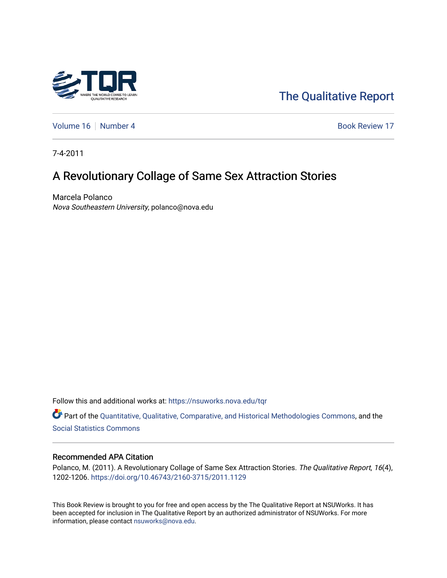

# [The Qualitative Report](https://nsuworks.nova.edu/tqr)

[Volume 16](https://nsuworks.nova.edu/tqr/vol16) [Number 4](https://nsuworks.nova.edu/tqr/vol16/iss4) Book Review 17

7-4-2011

# A Revolutionary Collage of Same Sex Attraction Stories

Marcela Polanco Nova Southeastern University, polanco@nova.edu

Follow this and additional works at: [https://nsuworks.nova.edu/tqr](https://nsuworks.nova.edu/tqr?utm_source=nsuworks.nova.edu%2Ftqr%2Fvol16%2Fiss4%2F17&utm_medium=PDF&utm_campaign=PDFCoverPages) 

Part of the [Quantitative, Qualitative, Comparative, and Historical Methodologies Commons,](http://network.bepress.com/hgg/discipline/423?utm_source=nsuworks.nova.edu%2Ftqr%2Fvol16%2Fiss4%2F17&utm_medium=PDF&utm_campaign=PDFCoverPages) and the [Social Statistics Commons](http://network.bepress.com/hgg/discipline/1275?utm_source=nsuworks.nova.edu%2Ftqr%2Fvol16%2Fiss4%2F17&utm_medium=PDF&utm_campaign=PDFCoverPages) 

#### Recommended APA Citation

Polanco, M. (2011). A Revolutionary Collage of Same Sex Attraction Stories. The Qualitative Report, 16(4), 1202-1206. <https://doi.org/10.46743/2160-3715/2011.1129>

This Book Review is brought to you for free and open access by the The Qualitative Report at NSUWorks. It has been accepted for inclusion in The Qualitative Report by an authorized administrator of NSUWorks. For more information, please contact [nsuworks@nova.edu.](mailto:nsuworks@nova.edu)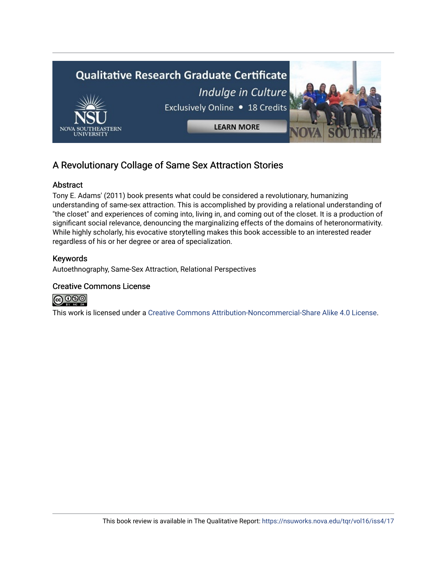

# A Revolutionary Collage of Same Sex Attraction Stories

# Abstract

Tony E. Adams' (2011) book presents what could be considered a revolutionary, humanizing understanding of same-sex attraction. This is accomplished by providing a relational understanding of "the closet" and experiences of coming into, living in, and coming out of the closet. It is a production of significant social relevance, denouncing the marginalizing effects of the domains of heteronormativity. While highly scholarly, his evocative storytelling makes this book accessible to an interested reader regardless of his or her degree or area of specialization.

# Keywords

Autoethnography, Same-Sex Attraction, Relational Perspectives

### Creative Commons License



This work is licensed under a [Creative Commons Attribution-Noncommercial-Share Alike 4.0 License](https://creativecommons.org/licenses/by-nc-sa/4.0/).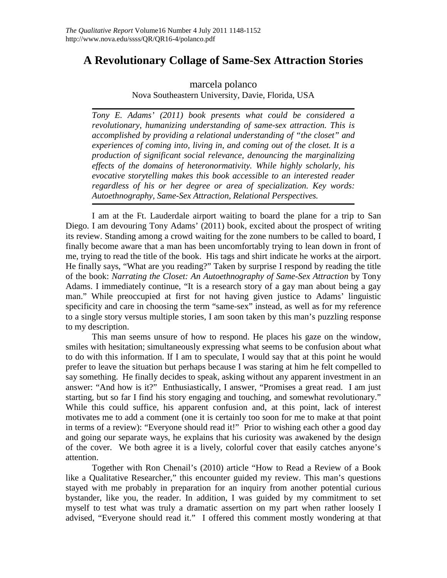# **A Revolutionary Collage of Same-Sex Attraction Stories**

# marcela polanco Nova Southeastern University, Davie, Florida, USA

*Tony E. Adams' (2011) book presents what could be considered a revolutionary, humanizing understanding of same-sex attraction. This is accomplished by providing a relational understanding of "the closet" and experiences of coming into, living in, and coming out of the closet. It is a production of significant social relevance, denouncing the marginalizing effects of the domains of heteronormativity. While highly scholarly, his evocative storytelling makes this book accessible to an interested reader regardless of his or her degree or area of specialization. Key words: Autoethnography, Same-Sex Attraction, Relational Perspectives.*

I am at the Ft. Lauderdale airport waiting to board the plane for a trip to San Diego. I am devouring Tony Adams' (2011) book, excited about the prospect of writing its review. Standing among a crowd waiting for the zone numbers to be called to board, I finally become aware that a man has been uncomfortably trying to lean down in front of me, trying to read the title of the book. His tags and shirt indicate he works at the airport. He finally says, "What are you reading?" Taken by surprise I respond by reading the title of the book: *Narrating the Closet: An Autoethnography of Same-Sex Attraction* by Tony Adams. I immediately continue, "It is a research story of a gay man about being a gay man." While preoccupied at first for not having given justice to Adams' linguistic specificity and care in choosing the term "same-sex" instead, as well as for my reference to a single story versus multiple stories, I am soon taken by this man's puzzling response to my description.

This man seems unsure of how to respond. He places his gaze on the window, smiles with hesitation; simultaneously expressing what seems to be confusion about what to do with this information. If I am to speculate, I would say that at this point he would prefer to leave the situation but perhaps because I was staring at him he felt compelled to say something. He finally decides to speak, asking without any apparent investment in an answer: "And how is it?" Enthusiastically, I answer, "Promises a great read. I am just starting, but so far I find his story engaging and touching, and somewhat revolutionary." While this could suffice, his apparent confusion and, at this point, lack of interest motivates me to add a comment (one it is certainly too soon for me to make at that point in terms of a review): "Everyone should read it!" Prior to wishing each other a good day and going our separate ways, he explains that his curiosity was awakened by the design of the cover. We both agree it is a lively, colorful cover that easily catches anyone's attention.

Together with Ron Chenail's (2010) article "How to Read a Review of a Book like a Qualitative Researcher," this encounter guided my review. This man's questions stayed with me probably in preparation for an inquiry from another potential curious bystander, like you, the reader. In addition, I was guided by my commitment to set myself to test what was truly a dramatic assertion on my part when rather loosely I advised, "Everyone should read it." I offered this comment mostly wondering at that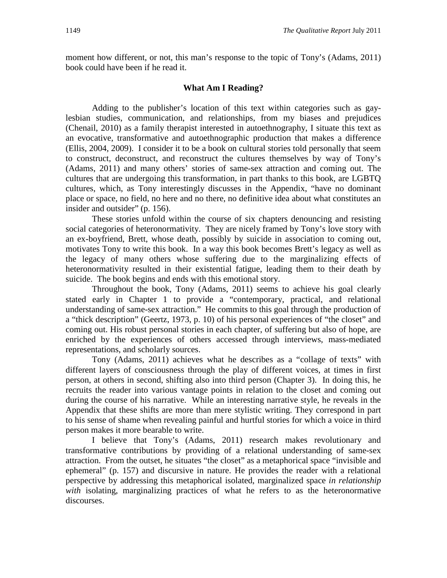moment how different, or not, this man's response to the topic of Tony's (Adams, 2011) book could have been if he read it.

### **What Am I Reading?**

Adding to the publisher's location of this text within categories such as gaylesbian studies, communication, and relationships, from my biases and prejudices (Chenail, 2010) as a family therapist interested in autoethnography, I situate this text as an evocative, transformative and autoethnographic production that makes a difference (Ellis, 2004, 2009). I consider it to be a book on cultural stories told personally that seem to construct, deconstruct, and reconstruct the cultures themselves by way of Tony's (Adams, 2011) and many others' stories of same-sex attraction and coming out. The cultures that are undergoing this transformation, in part thanks to this book, are LGBTQ cultures, which, as Tony interestingly discusses in the Appendix, "have no dominant place or space, no field, no here and no there, no definitive idea about what constitutes an insider and outsider" (p. 156).

These stories unfold within the course of six chapters denouncing and resisting social categories of heteronormativity. They are nicely framed by Tony's love story with an ex-boyfriend, Brett, whose death, possibly by suicide in association to coming out, motivates Tony to write this book. In a way this book becomes Brett's legacy as well as the legacy of many others whose suffering due to the marginalizing effects of heteronormativity resulted in their existential fatigue, leading them to their death by suicide. The book begins and ends with this emotional story.

Throughout the book, Tony (Adams, 2011) seems to achieve his goal clearly stated early in Chapter 1 to provide a "contemporary, practical, and relational understanding of same-sex attraction." He commits to this goal through the production of a "thick description" (Geertz, 1973, p. 10) of his personal experiences of "the closet" and coming out. His robust personal stories in each chapter, of suffering but also of hope, are enriched by the experiences of others accessed through interviews, mass-mediated representations, and scholarly sources.

Tony (Adams, 2011) achieves what he describes as a "collage of texts" with different layers of consciousness through the play of different voices, at times in first person, at others in second, shifting also into third person (Chapter 3). In doing this, he recruits the reader into various vantage points in relation to the closet and coming out during the course of his narrative. While an interesting narrative style, he reveals in the Appendix that these shifts are more than mere stylistic writing. They correspond in part to his sense of shame when revealing painful and hurtful stories for which a voice in third person makes it more bearable to write.

I believe that Tony's (Adams, 2011) research makes revolutionary and transformative contributions by providing of a relational understanding of same-sex attraction. From the outset, he situates "the closet" as a metaphorical space "invisible and ephemeral" (p. 157) and discursive in nature. He provides the reader with a relational perspective by addressing this metaphorical isolated, marginalized space *in relationship with* isolating, marginalizing practices of what he refers to as the heteronormative discourses.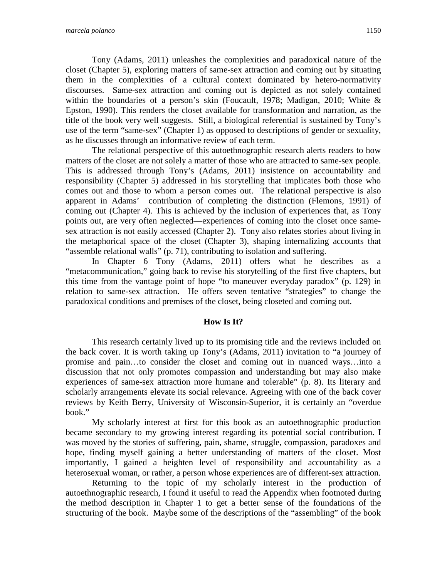Tony (Adams, 2011) unleashes the complexities and paradoxical nature of the closet (Chapter 5), exploring matters of same-sex attraction and coming out by situating them in the complexities of a cultural context dominated by hetero-normativity discourses. Same-sex attraction and coming out is depicted as not solely contained within the boundaries of a person's skin (Foucault, 1978; Madigan, 2010; White & Epston, 1990). This renders the closet available for transformation and narration, as the title of the book very well suggests. Still, a biological referential is sustained by Tony's use of the term "same-sex" (Chapter 1) as opposed to descriptions of gender or sexuality, as he discusses through an informative review of each term.

The relational perspective of this autoethnographic research alerts readers to how matters of the closet are not solely a matter of those who are attracted to same-sex people. This is addressed through Tony's (Adams, 2011) insistence on accountability and responsibility (Chapter 5) addressed in his storytelling that implicates both those who comes out and those to whom a person comes out. The relational perspective is also apparent in Adams' contribution of completing the distinction (Flemons, 1991) of coming out (Chapter 4). This is achieved by the inclusion of experiences that, as Tony points out, are very often neglected—experiences of coming into the closet once samesex attraction is not easily accessed (Chapter 2). Tony also relates stories about living in the metaphorical space of the closet (Chapter 3), shaping internalizing accounts that "assemble relational walls" (p. 71), contributing to isolation and suffering.

In Chapter 6 Tony (Adams, 2011) offers what he describes as a "metacommunication," going back to revise his storytelling of the first five chapters, but this time from the vantage point of hope "to maneuver everyday paradox" (p. 129) in relation to same-sex attraction. He offers seven tentative "strategies" to change the paradoxical conditions and premises of the closet, being closeted and coming out.

#### **How Is It?**

This research certainly lived up to its promising title and the reviews included on the back cover. It is worth taking up Tony's (Adams, 2011) invitation to "a journey of promise and pain…to consider the closet and coming out in nuanced ways…into a discussion that not only promotes compassion and understanding but may also make experiences of same-sex attraction more humane and tolerable" (p. 8). Its literary and scholarly arrangements elevate its social relevance. Agreeing with one of the back cover reviews by Keith Berry, University of Wisconsin-Superior, it is certainly an "overdue book."

My scholarly interest at first for this book as an autoethnographic production became secondary to my growing interest regarding its potential social contribution. I was moved by the stories of suffering, pain, shame, struggle, compassion, paradoxes and hope, finding myself gaining a better understanding of matters of the closet. Most importantly, I gained a heighten level of responsibility and accountability as a heterosexual woman, or rather, a person whose experiences are of different-sex attraction.

Returning to the topic of my scholarly interest in the production of autoethnographic research, I found it useful to read the Appendix when footnoted during the method description in Chapter 1 to get a better sense of the foundations of the structuring of the book. Maybe some of the descriptions of the "assembling" of the book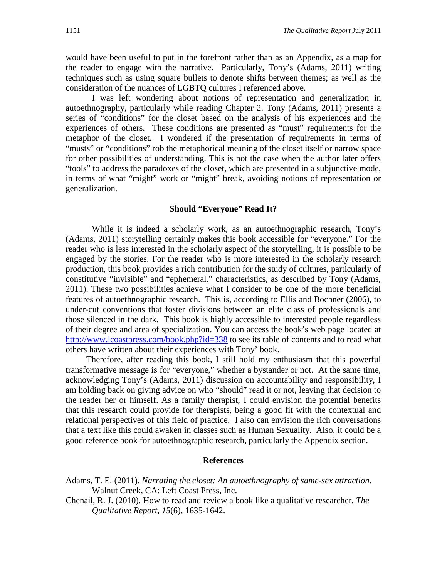would have been useful to put in the forefront rather than as an Appendix, as a map for the reader to engage with the narrative. Particularly, Tony's (Adams, 2011) writing techniques such as using square bullets to denote shifts between themes; as well as the consideration of the nuances of LGBTQ cultures I referenced above.

I was left wondering about notions of representation and generalization in autoethnography, particularly while reading Chapter 2. Tony (Adams, 2011) presents a series of "conditions" for the closet based on the analysis of his experiences and the experiences of others. These conditions are presented as "must" requirements for the metaphor of the closet. I wondered if the presentation of requirements in terms of "musts" or "conditions" rob the metaphorical meaning of the closet itself or narrow space for other possibilities of understanding. This is not the case when the author later offers "tools" to address the paradoxes of the closet, which are presented in a subjunctive mode, in terms of what "might" work or "might" break, avoiding notions of representation or generalization.

#### **Should "Everyone" Read It?**

While it is indeed a scholarly work, as an autoethnographic research, Tony's (Adams, 2011) storytelling certainly makes this book accessible for "everyone." For the reader who is less interested in the scholarly aspect of the storytelling, it is possible to be engaged by the stories. For the reader who is more interested in the scholarly research production, this book provides a rich contribution for the study of cultures, particularly of constitutive "invisible" and "ephemeral." characteristics, as described by Tony (Adams, 2011). These two possibilities achieve what I consider to be one of the more beneficial features of autoethnographic research. This is, according to Ellis and Bochner (2006), to under-cut conventions that foster divisions between an elite class of professionals and those silenced in the dark. This book is highly accessible to interested people regardless of their degree and area of specialization. You can access the book's web page located at <http://www.lcoastpress.com/book.php?id=338> to see its table of contents and to read what others have written about their experiences with Tony' book.

Therefore, after reading this book, I still hold my enthusiasm that this powerful transformative message is for "everyone," whether a bystander or not. At the same time, acknowledging Tony's (Adams, 2011) discussion on accountability and responsibility, I am holding back on giving advice on who "should" read it or not, leaving that decision to the reader her or himself. As a family therapist, I could envision the potential benefits that this research could provide for therapists, being a good fit with the contextual and relational perspectives of this field of practice. I also can envision the rich conversations that a text like this could awaken in classes such as Human Sexuality. Also, it could be a good reference book for autoethnographic research, particularly the Appendix section.

#### **References**

- Adams, T. E. (2011). *Narrating the closet: An autoethnography of same-sex attraction.* Walnut Creek, CA: Left Coast Press, Inc.
- Chenail, R. J. (2010). How to read and review a book like a qualitative researcher. *The Qualitative Report, 15*(6), 1635-1642.